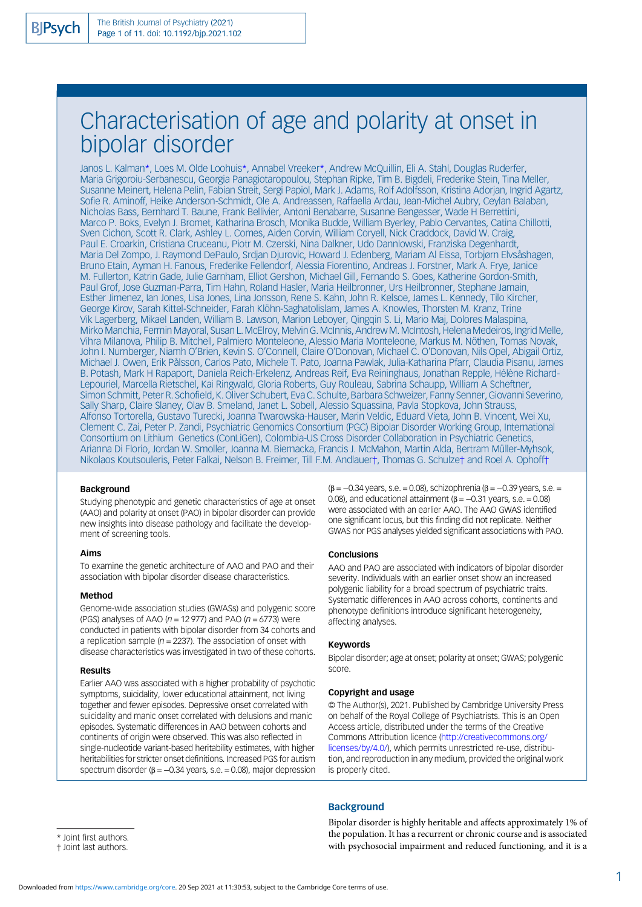# Characterisation of age and polarity at onset in bipolar disorder

Janos L. Kalman\*, Loes M. Olde Loohuis\*, Annabel Vreeker\*, Andrew McQuillin, Eli A. Stahl, Douglas Ruderfer, Maria Grigoroiu-Serbanescu, Georgia Panagiotaropoulou, Stephan Ripke, Tim B. Bigdeli, Frederike Stein, Tina Meller, Susanne Meinert, Helena Pelin, Fabian Streit, Sergi Papiol, Mark J. Adams, Rolf Adolfsson, Kristina Adorjan, Ingrid Agartz, Sofie R. Aminoff, Heike Anderson-Schmidt, Ole A. Andreassen, Raffaella Ardau, Jean-Michel Aubry, Ceylan Balaban, Nicholas Bass, Bernhard T. Baune, Frank Bellivier, Antoni Benabarre, Susanne Bengesser, Wade H Berrettini, Marco P. Boks, Evelyn J. Bromet, Katharina Brosch, Monika Budde, William Byerley, Pablo Cervantes, Catina Chillotti, Sven Cichon, Scott R. Clark, Ashley L. Comes, Aiden Corvin, William Coryell, Nick Craddock, David W. Craig, Paul E. Croarkin, Cristiana Cruceanu, Piotr M. Czerski, Nina Dalkner, Udo Dannlowski, Franziska Degenhardt, Maria Del Zompo, J. Raymond DePaulo, Srdjan Djurovic, Howard J. Edenberg, Mariam Al Eissa, Torbjørn Elvsåshagen, Bruno Etain, Ayman H. Fanous, Frederike Fellendorf, Alessia Fiorentino, Andreas J. Forstner, Mark A. Frye, Janice M. Fullerton, Katrin Gade, Julie Garnham, Elliot Gershon, Michael Gill, Fernando S. Goes, Katherine Gordon-Smith, Paul Grof, Jose Guzman-Parra, Tim Hahn, Roland Hasler, Maria Heilbronner, Urs Heilbronner, Stephane Jamain, Esther Jimenez, Ian Jones, Lisa Jones, Lina Jonsson, Rene S. Kahn, John R. Kelsoe, James L. Kennedy, Tilo Kircher, George Kirov, Sarah Kittel-Schneider, Farah Klöhn-Saghatolislam, James A. Knowles, Thorsten M. Kranz, Trine Vik Lagerberg, Mikael Landen, William B. Lawson, Marion Leboyer, Qingqin S. Li, Mario Maj, Dolores Malaspina, Mirko Manchia, Fermin Mayoral, Susan L. McElroy, Melvin G. McInnis, Andrew M. McIntosh, Helena Medeiros, Ingrid Melle, Vihra Milanova, Philip B. Mitchell, Palmiero Monteleone, Alessio Maria Monteleone, Markus M. Nöthen, Tomas Novak, John I. Nurnberger, Niamh O'Brien, Kevin S. O'Connell, Claire O'Donovan, Michael C. O'Donovan, Nils Opel, Abigail Ortiz, Michael J. Owen, Erik Pålsson, Carlos Pato, Michele T. Pato, Joanna Pawlak, Julia-Katharina Pfarr, Claudia Pisanu, James B. Potash, Mark H Rapaport, Daniela Reich-Erkelenz, Andreas Reif, Eva Reininghaus, Jonathan Repple, Hélène Richard-Lepouriel, Marcella Rietschel, Kai Ringwald, Gloria Roberts, Guy Rouleau, Sabrina Schaupp, William A Scheftner, Simon Schmitt, Peter R. Schofield, K. Oliver Schubert, Eva C. Schulte, Barbara Schweizer, Fanny Senner, Giovanni Severino, Sally Sharp, Claire Slaney, Olav B. Smeland, Janet L. Sobell, Alessio Squassina, Pavla Stopkova, John Strauss, Alfonso Tortorella, Gustavo Turecki, Joanna Twarowska-Hauser, Marin Veldic, Eduard Vieta, John B. Vincent, Wei Xu, Clement C. Zai, Peter P. Zandi, Psychiatric Genomics Consortium (PGC) Bipolar Disorder Working Group, International Consortium on Lithium Genetics (ConLiGen), Colombia-US Cross Disorder Collaboration in Psychiatric Genetics, Arianna Di Florio, Jordan W. Smoller, Joanna M. Biernacka, Francis J. McMahon, Martin Alda, Bertram Müller-Myhsok, Nikolaos Koutsouleris, Peter Falkai, Nelson B. Freimer, Till F.M. Andlauer†, Thomas G. Schulze† and Roel A. Ophoff†

#### Background

Studying phenotypic and genetic characteristics of age at onset (AAO) and polarity at onset (PAO) in bipolar disorder can provide new insights into disease pathology and facilitate the development of screening tools.

#### Aims

To examine the genetic architecture of AAO and PAO and their association with bipolar disorder disease characteristics.

#### Method

Genome-wide association studies (GWASs) and polygenic score (PGS) analyses of AAO ( $n = 12977$ ) and PAO ( $n = 6773$ ) were conducted in patients with bipolar disorder from 34 cohorts and a replication sample ( $n = 2237$ ). The association of onset with disease characteristics was investigated in two of these cohorts.

#### Results

Earlier AAO was associated with a higher probability of psychotic symptoms, suicidality, lower educational attainment, not living together and fewer episodes. Depressive onset correlated with suicidality and manic onset correlated with delusions and manic episodes. Systematic differences in AAO between cohorts and continents of origin were observed. This was also reflected in single-nucleotide variant-based heritability estimates, with higher heritabilities for stricter onset definitions. Increased PGS for autism spectrum disorder ( $\beta$  = -0.34 years, s.e. = 0.08), major depression  $(\beta = -0.34 \text{ years}, s.e. = 0.08)$ , schizophrenia ( $\beta = -0.39 \text{ years}, s.e. =$ 0.08), and educational attainment ( $\beta = -0.31$  years, s.e. = 0.08) were associated with an earlier AAO. The AAO GWAS identified one significant locus, but this finding did not replicate. Neither GWAS nor PGS analyses yielded significant associations with PAO.

#### Conclusions

AAO and PAO are associated with indicators of bipolar disorder severity. Individuals with an earlier onset show an increased polygenic liability for a broad spectrum of psychiatric traits. Systematic differences in AAO across cohorts, continents and phenotype definitions introduce significant heterogeneity, affecting analyses.

#### Keywords

Bipolar disorder; age at onset; polarity at onset; GWAS; polygenic score.

#### Copyright and usage

© The Author(s), 2021. Published by Cambridge University Press on behalf of the Royal College of Psychiatrists. This is an Open Access article, distributed under the terms of the Creative Commons Attribution licence [\(http://creativecommons.org/](http://creativecommons.org/licenses/by/4.0/) [licenses/by/4.0/](http://creativecommons.org/licenses/by/4.0/)), which permits unrestricted re-use, distribution, and reproduction in any medium, provided the original work is properly cited.

### **Background**

\* Joint first authors.

Bipolar disorder is highly heritable and affects approximately 1% of the population. It has a recurrent or chronic course and is associated with psychosocial impairment and reduced functioning, and it is a

<sup>†</sup> Joint last authors.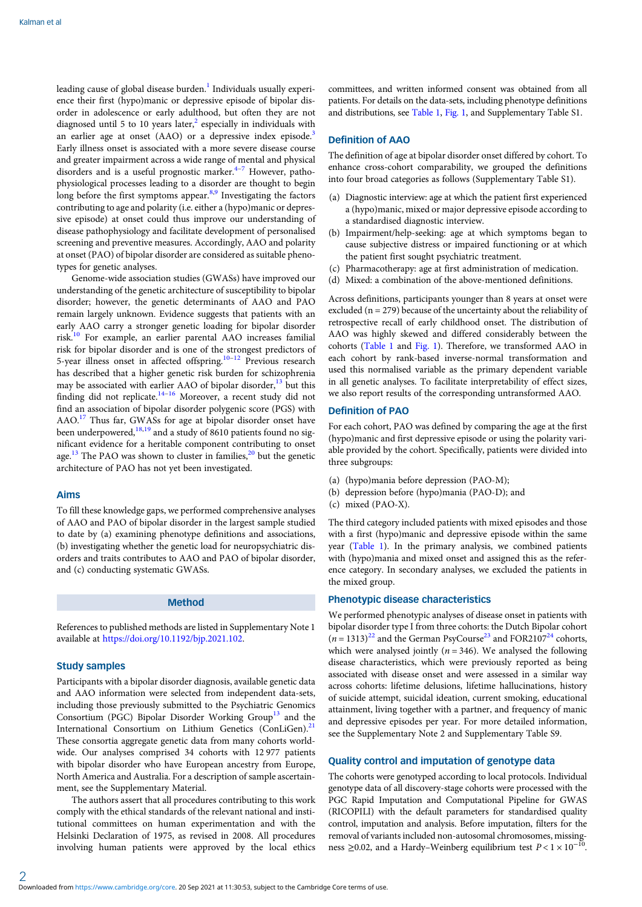leading cause of global disease burden.<sup>[1](#page-9-0)</sup> Individuals usually experience their first (hypo)manic or depressive episode of bipolar disorder in adolescence or early adulthood, but often they are not diagnosed until 5 to 10 years later, $\frac{2}{3}$  $\frac{2}{3}$  $\frac{2}{3}$  especially in individuals with an earlier age at onset (AAO) or a depressive index episode.<sup>3</sup> Early illness onset is associated with a more severe disease course and greater impairment across a wide range of mental and physical disorders and is a useful prognostic marker. $4-7$  $4-7$  However, pathophysiological processes leading to a disorder are thought to begin long before the first symptoms appear.<sup>[8](#page-10-0),[9](#page-10-0)</sup> Investigating the factors contributing to age and polarity (i.e. either a (hypo)manic or depressive episode) at onset could thus improve our understanding of disease pathophysiology and facilitate development of personalised screening and preventive measures. Accordingly, AAO and polarity at onset (PAO) of bipolar disorder are considered as suitable phenotypes for genetic analyses.

Genome-wide association studies (GWASs) have improved our understanding of the genetic architecture of susceptibility to bipolar disorder; however, the genetic determinants of AAO and PAO remain largely unknown. Evidence suggests that patients with an early AAO carry a stronger genetic loading for bipolar disorder risk.[10](#page-10-0) For example, an earlier parental AAO increases familial risk for bipolar disorder and is one of the strongest predictors of 5-year illness onset in affected offspring.<sup>[10](#page-10-0)–[12](#page-10-0)</sup> Previous research has described that a higher genetic risk burden for schizophrenia may be associated with earlier AAO of bipolar disorder,<sup>[13](#page-10-0)</sup> but this finding did not replicate.[14](#page-10-0)–[16](#page-10-0) Moreover, a recent study did not find an association of bipolar disorder polygenic score (PGS) with AAO[.17](#page-10-0) Thus far, GWASs for age at bipolar disorder onset have been underpowered, $18,19$  and a study of 8610 patients found no significant evidence for a heritable component contributing to onset age.<sup>[13](#page-10-0)</sup> The PAO was shown to cluster in families, $^{20}$  $^{20}$  $^{20}$  but the genetic architecture of PAO has not yet been investigated.

#### Aims

To fill these knowledge gaps, we performed comprehensive analyses of AAO and PAO of bipolar disorder in the largest sample studied to date by (a) examining phenotype definitions and associations, (b) investigating whether the genetic load for neuropsychiatric disorders and traits contributes to AAO and PAO of bipolar disorder, and (c) conducting systematic GWASs.

#### Method

References to published methods are listed in Supplementary Note 1 available at [https://doi.org/10.1192/bjp.2021.102.](https://doi.org/10.1192/bjp.2021.102)

#### Study samples

Participants with a bipolar disorder diagnosis, available genetic data and AAO information were selected from independent data-sets, including those previously submitted to the Psychiatric Genomics Consortium (PGC) Bipolar Disorder Working Group<sup>13</sup> and the International Consortium on Lithium Genetics (ConLiGen).<sup>[21](#page-10-0)</sup> These consortia aggregate genetic data from many cohorts worldwide. Our analyses comprised 34 cohorts with 12 977 patients with bipolar disorder who have European ancestry from Europe, North America and Australia. For a description of sample ascertainment, see the Supplementary Material.

The authors assert that all procedures contributing to this work comply with the ethical standards of the relevant national and institutional committees on human experimentation and with the Helsinki Declaration of 1975, as revised in 2008. All procedures involving human patients were approved by the local ethics

committees, and written informed consent was obtained from all patients. For details on the data-sets, including phenotype definitions and distributions, see [Table 1](#page-2-0), [Fig. 1](#page-3-0), and Supplementary Table S1.

#### Definition of AAO

The definition of age at bipolar disorder onset differed by cohort. To enhance cross-cohort comparability, we grouped the definitions into four broad categories as follows (Supplementary Table S1).

- (a) Diagnostic interview: age at which the patient first experienced a (hypo)manic, mixed or major depressive episode according to a standardised diagnostic interview.
- (b) Impairment/help-seeking: age at which symptoms began to cause subjective distress or impaired functioning or at which the patient first sought psychiatric treatment.
- (c) Pharmacotherapy: age at first administration of medication.
- (d) Mixed: a combination of the above-mentioned definitions.

Across definitions, participants younger than 8 years at onset were excluded ( $n = 279$ ) because of the uncertainty about the reliability of retrospective recall of early childhood onset. The distribution of AAO was highly skewed and differed considerably between the cohorts ([Table 1](#page-2-0) and [Fig. 1\)](#page-3-0). Therefore, we transformed AAO in each cohort by rank-based inverse-normal transformation and used this normalised variable as the primary dependent variable in all genetic analyses. To facilitate interpretability of effect sizes, we also report results of the corresponding untransformed AAO.

### Definition of PAO

For each cohort, PAO was defined by comparing the age at the first (hypo)manic and first depressive episode or using the polarity variable provided by the cohort. Specifically, patients were divided into three subgroups:

- (a) (hypo)mania before depression (PAO-M);
- (b) depression before (hypo)mania (PAO-D); and
- (c) mixed (PAO-X).

The third category included patients with mixed episodes and those with a first (hypo)manic and depressive episode within the same year [\(Table 1\)](#page-2-0). In the primary analysis, we combined patients with (hypo)mania and mixed onset and assigned this as the reference category. In secondary analyses, we excluded the patients in the mixed group.

## Phenotypic disease characteristics

We performed phenotypic analyses of disease onset in patients with bipolar disorder type I from three cohorts: the Dutch Bipolar cohort  $(n = 1313)^{22}$  $(n = 1313)^{22}$  $(n = 1313)^{22}$  and the German PsyCourse<sup>[23](#page-10-0)</sup> and FOR2107<sup>24</sup> cohorts, which were analysed jointly ( $n = 346$ ). We analysed the following disease characteristics, which were previously reported as being associated with disease onset and were assessed in a similar way across cohorts: lifetime delusions, lifetime hallucinations, history of suicide attempt, suicidal ideation, current smoking, educational attainment, living together with a partner, and frequency of manic and depressive episodes per year. For more detailed information, see the Supplementary Note 2 and Supplementary Table S9.

## Quality control and imputation of genotype data

The cohorts were genotyped according to local protocols. Individual genotype data of all discovery-stage cohorts were processed with the PGC Rapid Imputation and Computational Pipeline for GWAS (RICOPILI) with the default parameters for standardised quality control, imputation and analysis. Before imputation, filters for the removal of variants included non-autosomal chromosomes, missingness ≥0.02, and a Hardy–Weinberg equilibrium test  $P < 1 \times 10^{-10}$ .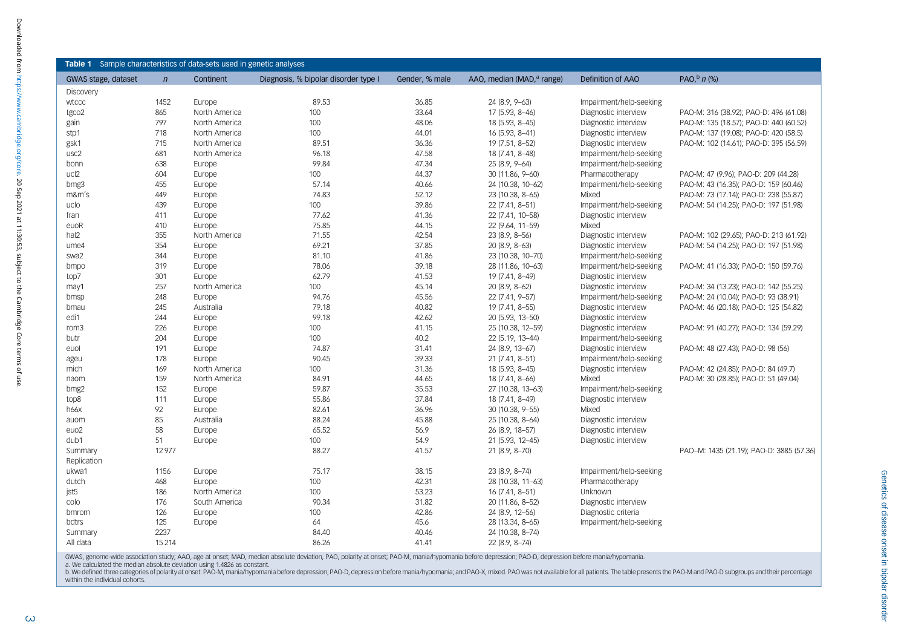<span id="page-2-0"></span>

| GWAS stage, dataset | $\mathsf{n}$ | Continent     | Diagnosis, % bipolar disorder type I | Gender, % male | AAO, median (MAD, <sup>a</sup> range) | Definition of AAO       | PAO, $\frac{b}{n}$ (%)                   |
|---------------------|--------------|---------------|--------------------------------------|----------------|---------------------------------------|-------------------------|------------------------------------------|
| Discovery           |              |               |                                      |                |                                       |                         |                                          |
| wtccc               | 1452         | Europe        | 89.53                                | 36.85          | 24 (8.9, 9-63)                        | Impairment/help-seeking |                                          |
| tgco2               | 865          | North America | 100                                  | 33.64          | 17 (5.93, 8-46)                       | Diagnostic interview    | PAO-M: 316 (38.92); PAO-D: 496 (61.08)   |
| gain                | 797          | North America | 100                                  | 48.06          | 18 (5.93, 8-45)                       | Diagnostic interview    | PAO-M: 135 (18.57); PAO-D: 440 (60.52)   |
| stp1                | 718          | North America | 100                                  | 44.01          | 16 (5.93, 8-41)                       | Diagnostic interview    | PAO-M: 137 (19.08): PAO-D: 420 (58.5)    |
| gsk1                | 715          | North America | 89.51                                | 36.36          | 19 (7.51, 8-52)                       | Diagnostic interview    | PAO-M: 102 (14.61); PAO-D: 395 (56.59)   |
| usc2                | 681          | North America | 96.18                                | 47.58          | 18 (7.41, 8-48)                       | Impairment/help-seeking |                                          |
| bonn                | 638          | Europe        | 99.84                                | 47.34          | 25 (8.9, 9-64)                        | Impairment/help-seeking |                                          |
| ucl2                | 604          | Europe        | 100                                  | 44.37          | 30 (11.86, 9-60)                      | Pharmacotherapy         | PAO-M: 47 (9.96); PAO-D: 209 (44.28)     |
| bmg3                | 455          | Europe        | 57.14                                | 40.66          | 24 (10.38, 10-62)                     | Impairment/help-seeking | PAO-M: 43 (16.35); PAO-D: 159 (60.46)    |
| m&m's               | 449          | Europe        | 74.83                                | 52.12          | 23 (10.38, 8-65)                      | Mixed                   | PAO-M: 73 (17.14); PAO-D: 238 (55.87)    |
| uclo                | 439          | Europe        | 100                                  | 39.86          | 22 (7.41, 8-51)                       | Impairment/help-seeking | PAO-M: 54 (14.25); PAO-D: 197 (51.98)    |
| fran                | 411          | Europe        | 77.62                                | 41.36          | 22 (7.41, 10-58)                      | Diagnostic interview    |                                          |
| euoR                | 410          | Europe        | 75.85                                | 44.15          | 22 (9.64, 11-59)                      | Mixed                   |                                          |
| hal2                | 355          | North America | 71.55                                | 42.54          | 23 (8.9, 8-56)                        | Diagnostic interview    | PAO-M: 102 (29.65); PAO-D: 213 (61.92)   |
| ume4                | 354          | Europe        | 69.21                                | 37.85          | 20 (8.9, 8-63)                        | Diagnostic interview    | PAO-M: 54 (14.25); PAO-D: 197 (51.98)    |
| swa2                | 344          | Europe        | 81.10                                | 41.86          | 23 (10.38, 10-70)                     | Impairment/help-seeking |                                          |
| bmpo                | 319          | Europe        | 78.06                                | 39.18          | 28 (11.86, 10-63)                     | Impairment/help-seeking | PAO-M: 41 (16.33); PAO-D: 150 (59.76)    |
| top7                | 301          | Europe        | 62.79                                | 41.53          | 19 (7.41, 8-49)                       | Diagnostic interview    |                                          |
| may1                | 257          | North America | 100                                  | 45.14          | $20(8.9, 8 - 62)$                     | Diagnostic interview    | PAO-M: 34 (13.23); PAO-D: 142 (55.25)    |
| bmsp                | 248          | Europe        | 94.76                                | 45.56          | 22 (7.41, 9-57)                       | Impairment/help-seeking | PAO-M: 24 (10.04); PAO-D: 93 (38.91)     |
| bmau                | 245          | Australia     | 79.18                                | 40.82          | 19 (7.41, 8-55)                       | Diagnostic interview    | PAO-M: 46 (20.18); PAO-D: 125 (54.82)    |
| edi1                | 244          | Europe        | 99.18                                | 42.62          | 20 (5.93, 13-50)                      | Diagnostic interview    |                                          |
| rom <sub>3</sub>    | 226          | Europe        | 100                                  | 41.15          | 25 (10.38, 12-59)                     | Diagnostic interview    | PAO-M: 91 (40.27); PAO-D: 134 (59.29)    |
| butr                | 204          | Europe        | 100                                  | 40.2           | 22 (5.19, 13-44)                      | Impairment/help-seeking |                                          |
| euol                | 191          | Europe        | 74.87                                | 31.41          | 24 (8.9, 13-67)                       | Diagnostic interview    | PAO-M: 48 (27.43); PAO-D: 98 (56)        |
| ageu                | 178          | Europe        | 90.45                                | 39.33          | 21 (7.41, 8-51)                       | Impairment/help-seeking |                                          |
| mich                | 169          | North America | 100                                  | 31.36          | 18 (5.93, 8-45)                       | Diagnostic interview    | PAO-M: 42 (24.85); PAO-D: 84 (49.7)      |
| naom                | 159          | North America | 84.91                                | 44.65          | 18 (7.41, 8-66)                       | Mixed                   | PAO-M: 30 (28.85); PAO-D: 51 (49.04)     |
| bmg2                | 152          | Europe        | 59.87                                | 35.53          | 27 (10.38, 13-63)                     | Impairment/help-seeking |                                          |
| top8                | 111          | Europe        | 55.86                                | 37.84          | 18 (7.41, 8-49)                       | Diagnostic interview    |                                          |
| h66x                | 92           | Europe        | 82.61                                | 36.96          | 30 (10.38, 9-55)                      | Mixed                   |                                          |
| auom                | 85           | Australia     | 88.24                                | 45.88          | 25 (10.38, 8-64)                      | Diagnostic interview    |                                          |
| euo <sub>2</sub>    | 58           | Europe        | 65.52                                | 56.9           | 26 (8.9, 18-57)                       | Diagnostic interview    |                                          |
| dub1                | 51           | Europe        | 100                                  | 54.9           | 21 (5.93, 12-45)                      | Diagnostic interview    |                                          |
| Summary             | 12977        |               | 88.27                                | 41.57          | 21 (8.9, 8-70)                        |                         | PAO-M: 1435 (21.19); PAO-D: 3885 (57.36) |
| Replication         |              |               |                                      |                |                                       |                         |                                          |
| ukwa1               | 1156         | Europe        | 75.17                                | 38.15          | 23 (8.9, 8-74)                        | Impairment/help-seeking |                                          |
| dutch               | 468          | Europe        | 100                                  | 42.31          | 28 (10.38, 11-63)                     | Pharmacotherapy         |                                          |
| jst5                | 186          | North America | 100                                  | 53.23          | 16 (7.41, 8-51)                       | Unknown                 |                                          |
| colo                | 176          | South America | 90.34                                | 31.82          | 20 (11.86, 8-52)                      | Diagnostic interview    |                                          |
| bmrom               | 126          | Europe        | 100                                  | 42.86          | 24 (8.9, 12-56)                       | Diagnostic criteria     |                                          |
| bdtrs               | 125          | Europe        | 64                                   | 45.6           | 28 (13.34, 8-65)                      | Impairment/help-seeking |                                          |
| Summary             | 2237         |               | 84.40                                | 40.46          | 24 (10.38, 8-74)                      |                         |                                          |
| All data            | 15214        |               | 86.26                                | 41.41          | $22(8.9.8-74)$                        |                         |                                          |

GWAS, genome-wide association study; AAO, age at onset; MAD, median absolute deviation, PAO, polarity at onset; PAO-M, mania/hypomania before depression; PAO-D, depression before mania/hypomania.

a. We calculated the median absolute deviation using 1.4826 as constant.<br>b. We defined three categories of polarity at onset: PAO-M, mania/hypomania before depression; PAO-D, depression before mania/hypomania; and PAO-X, m within the individual cohorts.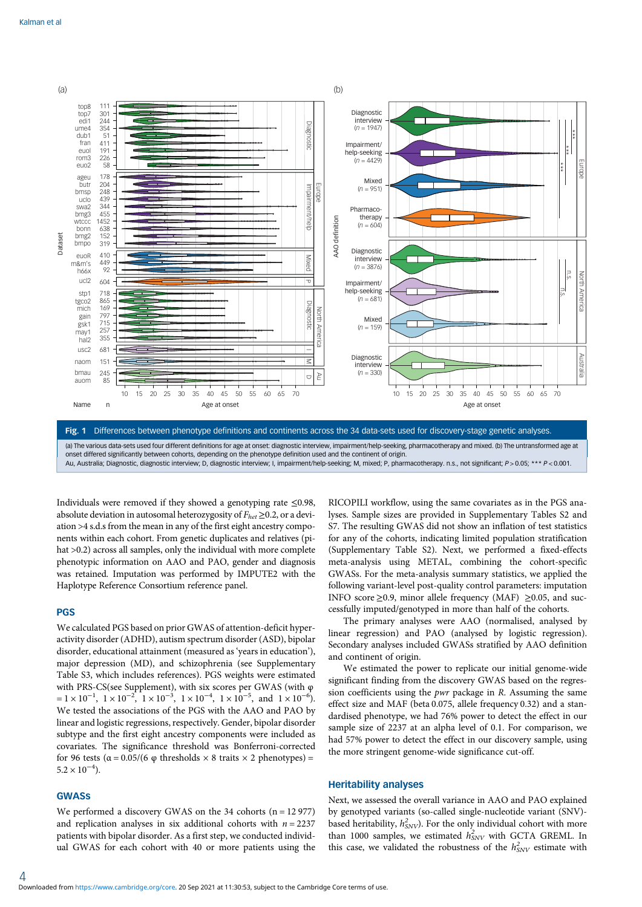<span id="page-3-0"></span>

Au, Australia; Diagnostic, diagnostic interview; D, diagnostic interview; I, impairment/help-seeking; M, mixed; P, pharmacotherapy. n.s., not significant; P > 0.05; \*\*\* P < 0.001.

Individuals were removed if they showed a genotyping rate ≤0.98, absolute deviation in autosomal heterozygosity of  $F_{het} \geq 0.2$ , or a deviation >4 s.d.s from the mean in any of the first eight ancestry components within each cohort. From genetic duplicates and relatives (pihat  $>0.2$ ) across all samples, only the individual with more complete phenotypic information on AAO and PAO, gender and diagnosis was retained. Imputation was performed by IMPUTE2 with the Haplotype Reference Consortium reference panel.

# PGS

We calculated PGS based on prior GWAS of attention-deficit hyperactivity disorder (ADHD), autism spectrum disorder (ASD), bipolar disorder, educational attainment (measured as 'years in education'), major depression (MD), and schizophrenia (see Supplementary Table S3, which includes references). PGS weights were estimated with PRS-CS(see Supplement), with six scores per GWAS (with φ  $= 1 \times 10^{-1}$ ,  $1 \times 10^{-2}$ ,  $1 \times 10^{-3}$ ,  $1 \times 10^{-4}$ ,  $1 \times 10^{-5}$ , and  $1 \times 10^{-6}$ ). We tested the associations of the PGS with the AAO and PAO by linear and logistic regressions, respectively. Gender, bipolar disorder subtype and the first eight ancestry components were included as covariates. The significance threshold was Bonferroni-corrected for 96 tests ( $\alpha$  = 0.05/(6  $\varphi$  thresholds  $\times$  8 traits  $\times$  2 phenotypes) =  $5.2 \times 10^{-4}$ ).

## GWASs

4

We performed a discovery GWAS on the 34 cohorts (n = 12 977) and replication analyses in six additional cohorts with  $n = 2237$ patients with bipolar disorder. As a first step, we conducted individual GWAS for each cohort with 40 or more patients using the RICOPILI workflow, using the same covariates as in the PGS analyses. Sample sizes are provided in Supplementary Tables S2 and S7. The resulting GWAS did not show an inflation of test statistics for any of the cohorts, indicating limited population stratification (Supplementary Table S2). Next, we performed a fixed-effects meta-analysis using METAL, combining the cohort-specific GWASs. For the meta-analysis summary statistics, we applied the following variant-level post-quality control parameters: imputation INFO score  $\geq$ 0.9, minor allele frequency (MAF)  $\geq$ 0.05, and successfully imputed/genotyped in more than half of the cohorts.

The primary analyses were AAO (normalised, analysed by linear regression) and PAO (analysed by logistic regression). Secondary analyses included GWASs stratified by AAO definition and continent of origin.

We estimated the power to replicate our initial genome-wide significant finding from the discovery GWAS based on the regression coefficients using the pwr package in R. Assuming the same effect size and MAF (beta 0.075, allele frequency 0.32) and a standardised phenotype, we had 76% power to detect the effect in our sample size of 2237 at an alpha level of 0.1. For comparison, we had 57% power to detect the effect in our discovery sample, using the more stringent genome-wide significance cut-off.

# Heritability analyses

Next, we assessed the overall variance in AAO and PAO explained by genotyped variants (so-called single-nucleotide variant (SNV) based heritability,  $h_{\text{SNV}}^2$ ). For the only individual cohort with more than 1000 samples, we estimated  $h_{SNV}^2$  with GCTA GREML. In this case, we validated the robustness of the  $h_{SNV}^2$  estimate with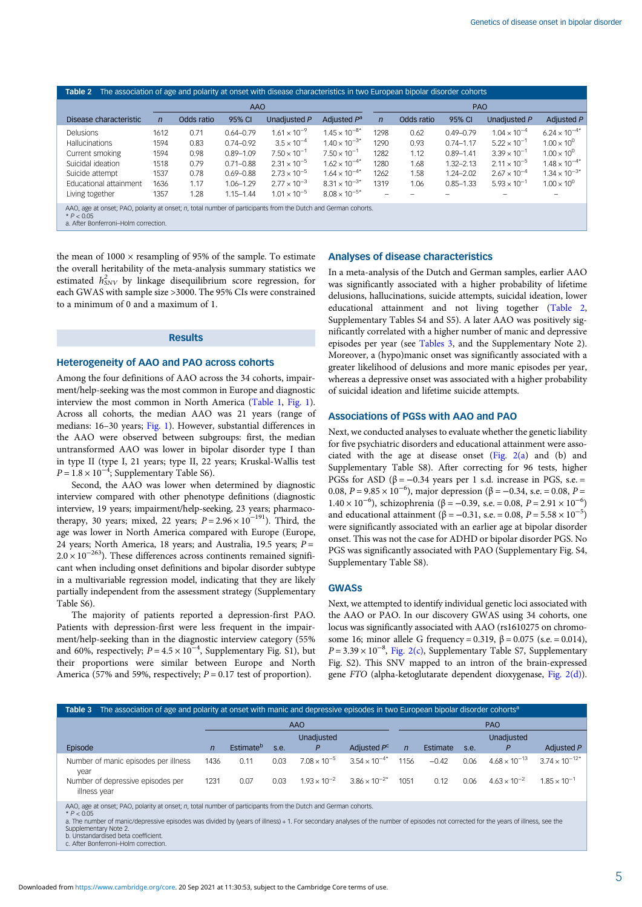| The association of age and polarity at onset with disease characteristics in two European bipolar disorder cohorts<br>Table 2                                        |              |            |               |                       |                        |                |            |               |                       |                        |  |
|----------------------------------------------------------------------------------------------------------------------------------------------------------------------|--------------|------------|---------------|-----------------------|------------------------|----------------|------------|---------------|-----------------------|------------------------|--|
|                                                                                                                                                                      |              |            | AAO           |                       |                        | <b>PAO</b>     |            |               |                       |                        |  |
| Disease characteristic                                                                                                                                               | $\mathsf{n}$ | Odds ratio | 95% CI        | Unadjusted P          | Adjusted $P^a$         | $\overline{n}$ | Odds ratio | 95% CI        | Unadjusted P          | Adjusted P             |  |
| <b>Delusions</b>                                                                                                                                                     | 1612         | 0.71       | $0.64 - 0.79$ | $1.61 \times 10^{-9}$ | $1.45 \times 10^{-8*}$ | 1298           | 0.62       | $0.49 - 0.79$ | $1.04 \times 10^{-4}$ | $6.24 \times 10^{-4*}$ |  |
| <b>Hallucinations</b>                                                                                                                                                | 1594         | 0.83       | $0.74 - 0.92$ | $3.5 \times 10^{-4}$  | $1.40 \times 10^{-3*}$ | 1290           | 0.93       | $0.74 - 1.17$ | $5.22 \times 10^{-1}$ | $1.00 \times 10^{0}$   |  |
| Current smoking                                                                                                                                                      | 1594         | 0.98       | $0.89 - 1.09$ | $7.50 \times 10^{-1}$ | $7.50 \times 10^{-1}$  | 1282           | 1.12       | $0.89 - 1.41$ | $3.39 \times 10^{-1}$ | $1.00 \times 10^{0}$   |  |
| Suicidal ideation                                                                                                                                                    | 1518         | 0.79       | $0.71 - 0.88$ | $2.31 \times 10^{-5}$ | $1.62 \times 10^{-4*}$ | 1280           | 1.68       | $1.32 - 2.13$ | $2.11 \times 10^{-5}$ | $1.48 \times 10^{-4*}$ |  |
| Suicide attempt                                                                                                                                                      | 1537         | 0.78       | $0.69 - 0.88$ | $2.73 \times 10^{-5}$ | $1.64 \times 10^{-4*}$ | 1262           | 1.58       | $1.24 - 2.02$ | $2.67 \times 10^{-4}$ | $1.34 \times 10^{-3*}$ |  |
| Educational attainment                                                                                                                                               | 1636         | 1.17       | $1.06 - 1.29$ | $2.77 \times 10^{-3}$ | $8.31 \times 10^{-3*}$ | 1319           | 1.06       | $0.85 - 1.33$ | $5.93 \times 10^{-1}$ | $1.00 \times 10^{0}$   |  |
| Living together                                                                                                                                                      | 1357         | 1.28       | $1.15 - 1.44$ | $1.01 \times 10^{-5}$ | $8.08 \times 10^{-5*}$ |                |            |               |                       |                        |  |
| AAO, age at onset; PAO, polarity at onset; n, total number of participants from the Dutch and German cohorts.<br>$*P < 0.05$<br>a. After Bonferroni-Holm correction. |              |            |               |                       |                        |                |            |               |                       |                        |  |

the mean of  $1000 \times$  resampling of 95% of the sample. To estimate the overall heritability of the meta-analysis summary statistics we estimated  $h_{\text{SNV}}^2$  by linkage disequilibrium score regression, for each GWAS with sample size >3000. The 95% CIs were constrained to a minimum of 0 and a maximum of 1.

## Results

## Heterogeneity of AAO and PAO across cohorts

Among the four definitions of AAO across the 34 cohorts, impairment/help-seeking was the most common in Europe and diagnostic interview the most common in North America ([Table 1](#page-2-0), [Fig. 1](#page-3-0)). Across all cohorts, the median AAO was 21 years (range of medians: 16–30 years; [Fig. 1](#page-3-0)). However, substantial differences in the AAO were observed between subgroups: first, the median untransformed AAO was lower in bipolar disorder type I than in type II (type I, 21 years; type II, 22 years; Kruskal-Wallis test  $P = 1.8 \times 10^{-4}$ ; Supplementary Table S6).

Second, the AAO was lower when determined by diagnostic interview compared with other phenotype definitions (diagnostic interview, 19 years; impairment/help-seeking, 23 years; pharmacotherapy, 30 years; mixed, 22 years;  $P = 2.96 \times 10^{-191}$ ). Third, the age was lower in North America compared with Europe (Europe, 24 years; North America, 18 years; and Australia, 19.5 years;  $P =$  $2.0 \times 10^{-263}$ ). These differences across continents remained significant when including onset definitions and bipolar disorder subtype in a multivariable regression model, indicating that they are likely partially independent from the assessment strategy (Supplementary Table S6).

The majority of patients reported a depression-first PAO. Patients with depression-first were less frequent in the impairment/help-seeking than in the diagnostic interview category (55% and 60%, respectively;  $P = 4.5 \times 10^{-4}$ , Supplementary Fig. S1), but their proportions were similar between Europe and North America (57% and 59%, respectively;  $P = 0.17$  test of proportion).

## Analyses of disease characteristics

In a meta-analysis of the Dutch and German samples, earlier AAO was significantly associated with a higher probability of lifetime delusions, hallucinations, suicide attempts, suicidal ideation, lower educational attainment and not living together (Table 2, Supplementary Tables S4 and S5). A later AAO was positively significantly correlated with a higher number of manic and depressive episodes per year (see Tables 3, and the Supplementary Note 2). Moreover, a (hypo)manic onset was significantly associated with a greater likelihood of delusions and more manic episodes per year, whereas a depressive onset was associated with a higher probability of suicidal ideation and lifetime suicide attempts.

#### Associations of PGSs with AAO and PAO

Next, we conducted analyses to evaluate whether the genetic liability for five psychiatric disorders and educational attainment were associated with the age at disease onset [\(Fig. 2\(a](#page-5-0)) and (b) and Supplementary Table S8). After correcting for 96 tests, higher PGSs for ASD ( $\beta$  = -0.34 years per 1 s.d. increase in PGS, s.e. = 0.08,  $P = 9.85 \times 10^{-6}$ ), major depression (β = -0.34, s.e. = 0.08, P = 1.40 × 10<sup>-6</sup>), schizophrenia (β = -0.39, s.e. = 0.08, P = 2.91 × 10<sup>-6</sup>) and educational attainment ( $\beta$  = -0.31, s.e. = 0.08, P = 5.58 × 10<sup>-5</sup>) were significantly associated with an earlier age at bipolar disorder onset. This was not the case for ADHD or bipolar disorder PGS. No PGS was significantly associated with PAO (Supplementary Fig. S4, Supplementary Table S8).

# GWASs

Next, we attempted to identify individual genetic loci associated with the AAO or PAO. In our discovery GWAS using 34 cohorts, one locus was significantly associated with AAO (rs1610275 on chromosome 16; minor allele G frequency = 0.319,  $β = 0.075$  (s.e. = 0.014),  $P = 3.39 \times 10^{-8}$ , [Fig. 2\(c\),](#page-5-0) Supplementary Table S7, Supplementary Fig. S2). This SNV mapped to an intron of the brain-expressed gene FTO (alpha-ketoglutarate dependent dioxygenase, [Fig. 2\(d\)](#page-5-0)).

| Table 3 The association of age and polarity at onset with manic and depressive episodes in two European bipolar disorder cohorts <sup>a</sup>                                                                                         |              |                       |      |                       |                        |                |          |      |                        |                         |  |
|---------------------------------------------------------------------------------------------------------------------------------------------------------------------------------------------------------------------------------------|--------------|-----------------------|------|-----------------------|------------------------|----------------|----------|------|------------------------|-------------------------|--|
| AAO                                                                                                                                                                                                                                   |              |                       |      |                       |                        | <b>PAO</b>     |          |      |                        |                         |  |
| Episode                                                                                                                                                                                                                               | $\mathsf{n}$ | Estimate <sup>b</sup> | s.e. | Unadiusted<br>P.      | Adjusted $P^c$         | $\overline{n}$ | Estimate | s.e. | Unadiusted             | Adjusted P              |  |
| Number of manic episodes per illness<br>vear                                                                                                                                                                                          | 1436         | 0.11                  | 0.03 | $7.08 \times 10^{-5}$ | $3.54 \times 10^{-4*}$ | 1156           | $-0.42$  | 0.06 | $4.68 \times 10^{-13}$ | $3.74 \times 10^{-12*}$ |  |
| Number of depressive episodes per<br>illness year                                                                                                                                                                                     | 1231         | 0.07                  | 0.03 | $1.93 \times 10^{-2}$ | $3.86 \times 10^{-2*}$ | 1051           | 0.12     | 0.06 | $4.63 \times 10^{-2}$  | $1.85 \times 10^{-1}$   |  |
| $\mathbf{r}$ and $\mathbf{r}$ are associated to the contract of the contract of the contract of the contract of the contract of the contract of the contract of the contract of the contract of the contract of the contract of the c |              |                       |      |                       |                        |                |          |      |                        |                         |  |

AAO, age at onset; PAO, polarity at onset; n, total number of participants from the Dutch and German cohorts. \* P < 0.05

a. The number of manic/depressive episodes was divided by (years of illness) + 1. For secondary analyses of the number of episodes not corrected for the years of illness, see the Supplementary Note 2. b. Unstandardised beta coefficient.

c. After Bonferroni–Holm correction.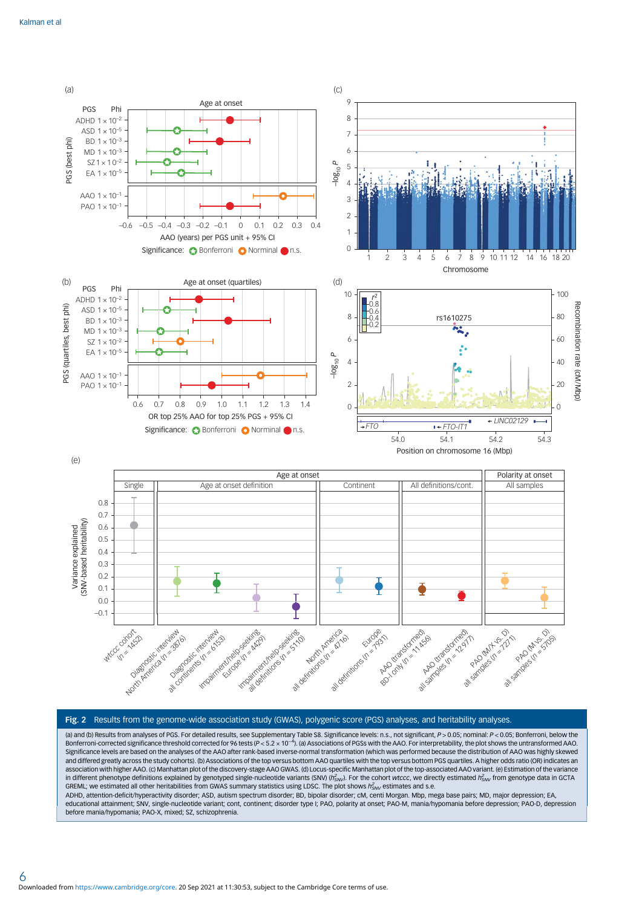<span id="page-5-0"></span>

#### Fig. 2 Results from the genome-wide association study (GWAS), polygenic score (PGS) analyses, and heritability analyses.

(a) and (b) Results from analyses of PGS. For detailed results, see Supplementary Table S8. Significance levels: n.s., not significant, P > 0.05; nominal: P < 0.05; Bonferroni, below the Bonferroni-corrected significance threshold corrected for 96 tests (P < 5.2 × 10<sup>-4</sup>). (a) Associations of PGSs with the AAO. For interpretability, the plot shows the untransformed AAO. Significance levels are based on the analyses of the AAO after rank-based inverse-normal transformation (which was performed because the distribution of AAO was highly skewed and differed greatly across the study cohorts). (b) Associations of the top versus bottom AAO quartiles with the top versus bottom PGS quartiles. A higher odds ratio (OR) indicates an association with higher AAO. (c) Manhattan plot of the discovery-stage AAO GWAS. (d) Locus-specific Manhattan plot of the top-associated AAO variant. (e) Estimation of the variance in different phenotype definitions explained by genotyped single-nucleotide variants (SNV) ( $h^2_{SNV}$ ). For the cohort wtccc, we directly estimated  $h^2_{SNV}$  from genotype data in GCTA GREML; we estimated all other heritabilities from GWAS summary statistics using LDSC. The plot shows  $h_{SW}^2$  estimates and s.e.

ADHD, attention-deficit/hyperactivity disorder; ASD, autism spectrum disorder; BD, bipolar disorder; cM, centi Morgan. Mbp, mega base pairs; MD, major depression; EA, educational attainment; SNV, single-nucleotide variant; cont, continent; disorder type I; PAO, polarity at onset; PAO-M, mania/hypomania before depression; PAO-D, depression before mania/hypomania; PAO-X, mixed; SZ, schizophrenia.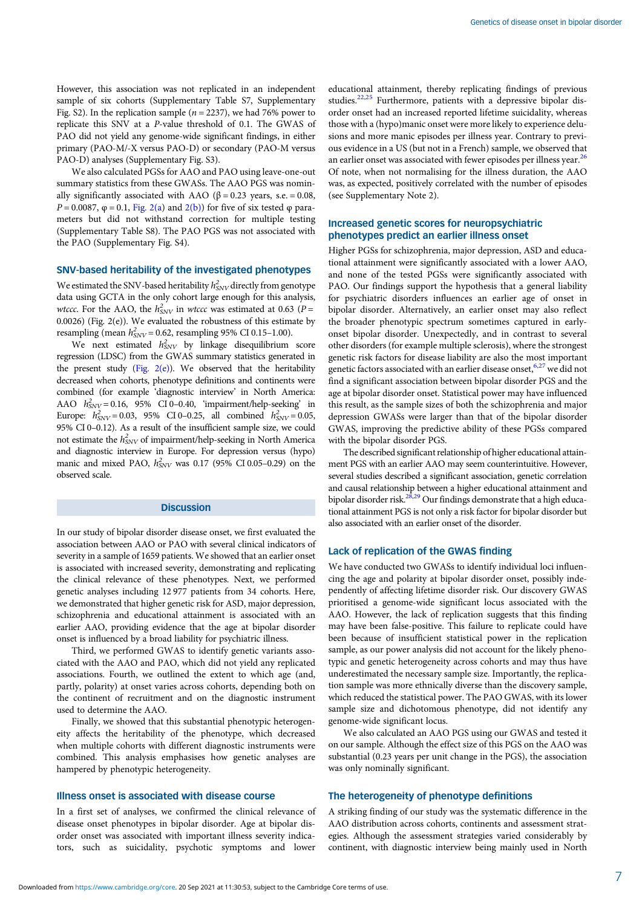However, this association was not replicated in an independent sample of six cohorts (Supplementary Table S7, Supplementary Fig. S2). In the replication sample ( $n = 2237$ ), we had 76% power to replicate this SNV at a P-value threshold of 0.1. The GWAS of PAO did not yield any genome-wide significant findings, in either primary (PAO-M/-X versus PAO-D) or secondary (PAO-M versus PAO-D) analyses (Supplementary Fig. S3).

We also calculated PGSs for AAO and PAO using leave-one-out summary statistics from these GWASs. The AAO PGS was nominally significantly associated with AAO ( $\beta$  = 0.23 years, s.e. = 0.08,  $P = 0.0087$ ,  $\varphi = 0.1$ , [Fig. 2\(a](#page-5-0)) and [2\(b\)\)](#page-5-0) for five of six tested  $\varphi$  parameters but did not withstand correction for multiple testing (Supplementary Table S8). The PAO PGS was not associated with the PAO (Supplementary Fig. S4).

# SNV-based heritability of the investigated phenotypes

We estimated the SNV-based heritability  $h^2_{\rm SNV}$  directly from genotype data using GCTA in the only cohort large enough for this analysis, wtccc. For the AAO, the  $h_{SNV}^2$  in wtccc was estimated at 0.63 (P = 0.0026) (Fig. 2(e)). We evaluated the robustness of this estimate by resampling (mean  $h_{SNV}^2 = 0.62$ , resampling 95% CI 0.15-1.00).

We next estimated  $h_{SNV}^2$  by linkage disequilibrium score regression (LDSC) from the GWAS summary statistics generated in the present study (Fig.  $2(e)$ ). We observed that the heritability decreased when cohorts, phenotype definitions and continents were combined (for example 'diagnostic interview' in North America: AAO  $h_{SNV}^2 = 0.16$ , 95% CI 0-0.40, 'impairment/help-seeking' in Europe:  $h_{SNV}^2 = 0.03$ , 95% CI 0-0.25, all combined  $h_{SNV}^2 = 0.05$ , 95% CI 0–0.12). As a result of the insufficient sample size, we could not estimate the  $h_{SNV}^2$  of impairment/help-seeking in North America and diagnostic interview in Europe. For depression versus (hypo) manic and mixed PAO,  $h_{SNV}^2$  was 0.17 (95% CI 0.05–0.29) on the observed scale.

#### **Discussion**

In our study of bipolar disorder disease onset, we first evaluated the association between AAO or PAO with several clinical indicators of severity in a sample of 1659 patients. We showed that an earlier onset is associated with increased severity, demonstrating and replicating the clinical relevance of these phenotypes. Next, we performed genetic analyses including 12 977 patients from 34 cohorts. Here, we demonstrated that higher genetic risk for ASD, major depression, schizophrenia and educational attainment is associated with an earlier AAO, providing evidence that the age at bipolar disorder onset is influenced by a broad liability for psychiatric illness.

Third, we performed GWAS to identify genetic variants associated with the AAO and PAO, which did not yield any replicated associations. Fourth, we outlined the extent to which age (and, partly, polarity) at onset varies across cohorts, depending both on the continent of recruitment and on the diagnostic instrument used to determine the AAO.

Finally, we showed that this substantial phenotypic heterogeneity affects the heritability of the phenotype, which decreased when multiple cohorts with different diagnostic instruments were combined. This analysis emphasises how genetic analyses are hampered by phenotypic heterogeneity.

## Illness onset is associated with disease course

In a first set of analyses, we confirmed the clinical relevance of disease onset phenotypes in bipolar disorder. Age at bipolar disorder onset was associated with important illness severity indicators, such as suicidality, psychotic symptoms and lower

educational attainment, thereby replicating findings of previous studies.<sup>[22,25](#page-10-0)</sup> Furthermore, patients with a depressive bipolar disorder onset had an increased reported lifetime suicidality, whereas those with a (hypo)manic onset were more likely to experience delusions and more manic episodes per illness year. Contrary to previous evidence in a US (but not in a French) sample, we observed that an earlier onset was associated with fewer episodes per illness year.<sup>[26](#page-10-0)</sup> Of note, when not normalising for the illness duration, the AAO was, as expected, positively correlated with the number of episodes (see Supplementary Note 2).

### Increased genetic scores for neuropsychiatric phenotypes predict an earlier illness onset

Higher PGSs for schizophrenia, major depression, ASD and educational attainment were significantly associated with a lower AAO, and none of the tested PGSs were significantly associated with PAO. Our findings support the hypothesis that a general liability for psychiatric disorders influences an earlier age of onset in bipolar disorder. Alternatively, an earlier onset may also reflect the broader phenotypic spectrum sometimes captured in earlyonset bipolar disorder. Unexpectedly, and in contrast to several other disorders (for example multiple sclerosis), where the strongest genetic risk factors for disease liability are also the most important genetic factors associated with an earlier disease onset, [6](#page-10-0),[27](#page-10-0) we did not find a significant association between bipolar disorder PGS and the age at bipolar disorder onset. Statistical power may have influenced this result, as the sample sizes of both the schizophrenia and major depression GWASs were larger than that of the bipolar disorder GWAS, improving the predictive ability of these PGSs compared with the bipolar disorder PGS.

The described significant relationship of higher educational attainment PGS with an earlier AAO may seem counterintuitive. However, several studies described a significant association, genetic correlation and causal relationship between a higher educational attainment and bipolar disorder risk. $28,29$  $28,29$  Our findings demonstrate that a high educational attainment PGS is not only a risk factor for bipolar disorder but also associated with an earlier onset of the disorder.

## Lack of replication of the GWAS finding

We have conducted two GWASs to identify individual loci influencing the age and polarity at bipolar disorder onset, possibly independently of affecting lifetime disorder risk. Our discovery GWAS prioritised a genome-wide significant locus associated with the AAO. However, the lack of replication suggests that this finding may have been false-positive. This failure to replicate could have been because of insufficient statistical power in the replication sample, as our power analysis did not account for the likely phenotypic and genetic heterogeneity across cohorts and may thus have underestimated the necessary sample size. Importantly, the replication sample was more ethnically diverse than the discovery sample, which reduced the statistical power. The PAO GWAS, with its lower sample size and dichotomous phenotype, did not identify any genome-wide significant locus.

We also calculated an AAO PGS using our GWAS and tested it on our sample. Although the effect size of this PGS on the AAO was substantial (0.23 years per unit change in the PGS), the association was only nominally significant.

#### The heterogeneity of phenotype definitions

A striking finding of our study was the systematic difference in the AAO distribution across cohorts, continents and assessment strategies. Although the assessment strategies varied considerably by continent, with diagnostic interview being mainly used in North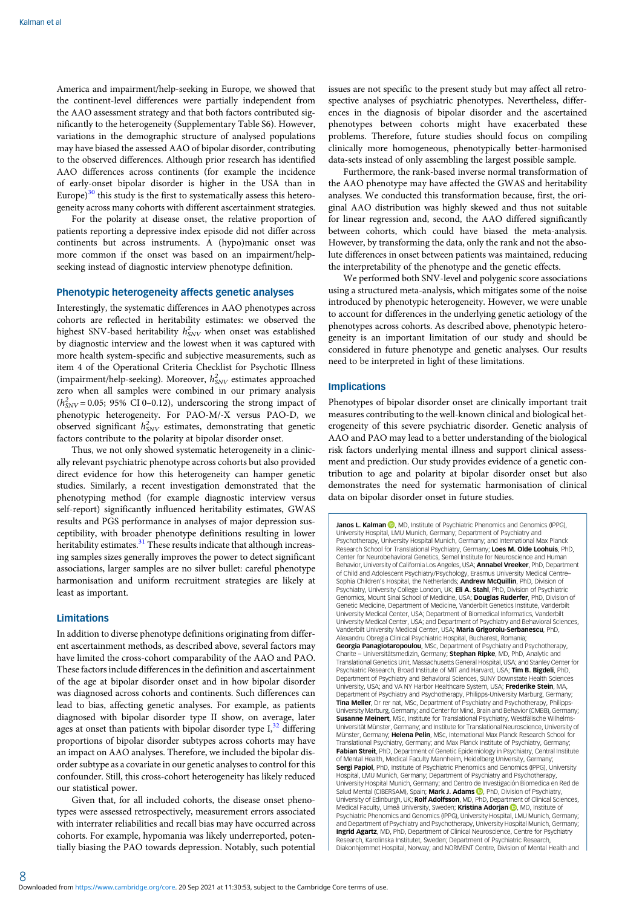America and impairment/help-seeking in Europe, we showed that the continent-level differences were partially independent from the AAO assessment strategy and that both factors contributed significantly to the heterogeneity (Supplementary Table S6). However, variations in the demographic structure of analysed populations may have biased the assessed AAO of bipolar disorder, contributing to the observed differences. Although prior research has identified AAO differences across continents (for example the incidence of early-onset bipolar disorder is higher in the USA than in Europe) $30$  this study is the first to systematically assess this heterogeneity across many cohorts with different ascertainment strategies.

For the polarity at disease onset, the relative proportion of patients reporting a depressive index episode did not differ across continents but across instruments. A (hypo)manic onset was more common if the onset was based on an impairment/helpseeking instead of diagnostic interview phenotype definition.

#### Phenotypic heterogeneity affects genetic analyses

Interestingly, the systematic differences in AAO phenotypes across cohorts are reflected in heritability estimates: we observed the highest SNV-based heritability  $h_{SNV}^2$  when onset was established by diagnostic interview and the lowest when it was captured with more health system-specific and subjective measurements, such as item 4 of the Operational Criteria Checklist for Psychotic Illness (impairment/help-seeking). Moreover,  $h_{\text{SNV}}^2$  estimates approached zero when all samples were combined in our primary analysis  $(h_{SNV}^2 = 0.05; 95\% \text{ CI } 0-0.12)$ , underscoring the strong impact of phenotypic heterogeneity. For PAO-M/-X versus PAO-D, we observed significant  $h_{SNV}^2$  estimates, demonstrating that genetic factors contribute to the polarity at bipolar disorder onset.

Thus, we not only showed systematic heterogeneity in a clinically relevant psychiatric phenotype across cohorts but also provided direct evidence for how this heterogeneity can hamper genetic studies. Similarly, a recent investigation demonstrated that the phenotyping method (for example diagnostic interview versus self-report) significantly influenced heritability estimates, GWAS results and PGS performance in analyses of major depression susceptibility, with broader phenotype definitions resulting in lower heritability estimates.<sup>[31](#page-10-0)</sup> These results indicate that although increasing samples sizes generally improves the power to detect significant associations, larger samples are no silver bullet: careful phenotype harmonisation and uniform recruitment strategies are likely at least as important.

### Limitations

In addition to diverse phenotype definitions originating from different ascertainment methods, as described above, several factors may have limited the cross-cohort comparability of the AAO and PAO. These factors include differences in the definition and ascertainment of the age at bipolar disorder onset and in how bipolar disorder was diagnosed across cohorts and continents. Such differences can lead to bias, affecting genetic analyses. For example, as patients diagnosed with bipolar disorder type II show, on average, later ages at onset than patients with bipolar disorder type  $I<sub>1</sub><sup>32</sup>$  $I<sub>1</sub><sup>32</sup>$  $I<sub>1</sub><sup>32</sup>$  differing proportions of bipolar disorder subtypes across cohorts may have an impact on AAO analyses. Therefore, we included the bipolar disorder subtype as a covariate in our genetic analyses to control for this confounder. Still, this cross-cohort heterogeneity has likely reduced our statistical power.

Given that, for all included cohorts, the disease onset phenotypes were assessed retrospectively, measurement errors associated with interrater reliabilities and recall bias may have occurred across cohorts. For example, hypomania was likely underreported, potentially biasing the PAO towards depression. Notably, such potential issues are not specific to the present study but may affect all retrospective analyses of psychiatric phenotypes. Nevertheless, differences in the diagnosis of bipolar disorder and the ascertained phenotypes between cohorts might have exacerbated these problems. Therefore, future studies should focus on compiling clinically more homogeneous, phenotypically better-harmonised data-sets instead of only assembling the largest possible sample.

Furthermore, the rank-based inverse normal transformation of the AAO phenotype may have affected the GWAS and heritability analyses. We conducted this transformation because, first, the original AAO distribution was highly skewed and thus not suitable for linear regression and, second, the AAO differed significantly between cohorts, which could have biased the meta-analysis. However, by transforming the data, only the rank and not the absolute differences in onset between patients was maintained, reducing the interpretability of the phenotype and the genetic effects.

We performed both SNV-level and polygenic score associations using a structured meta-analysis, which mitigates some of the noise introduced by phenotypic heterogeneity. However, we were unable to account for differences in the underlying genetic aetiology of the phenotypes across cohorts. As described above, phenotypic heterogeneity is an important limitation of our study and should be considered in future phenotype and genetic analyses. Our results need to be interpreted in light of these limitations.

#### Implications

Phenotypes of bipolar disorder onset are clinically important trait measures contributing to the well-known clinical and biological heterogeneity of this severe psychiatric disorder. Genetic analysis of AAO and PAO may lead to a better understanding of the biological risk factors underlying mental illness and support clinical assessment and prediction. Our study provides evidence of a genetic contribution to age and polarity at bipolar disorder onset but also demonstrates the need for systematic harmonisation of clinical data on bipolar disorder onset in future studies.

Janos L. Kalman (D, MD, Institute of Psychiatric Phenomics and Genomics (IPPG), University Hospital, LMU Munich, Germany; Department of Psychiatry and Psychotherapy, University Hospital Munich, Germany; and International Max Planck Research School for Translational Psychiatry, Germany; Loes M. Olde Loohuis, PhD, Center for Neurobehavioral Genetics, Semel Institute for Neuroscience and Human Behavior, University of California Los Angeles, USA; Annabel Vreeker, PhD, Department of Child and Adolescent Psychiatry/Psychology, Erasmus University Medical Centre– Sophia Children's Hospital, the Netherlands: **Andrew McQuillin**, PhD, Division of Psychiatry, University College London, UK; Eli A. Stahl, PhD, Division of Psychiatric Genomics, Mount Sinai School of Medicine, USA; Douglas Ruderfer, PhD, Division of Genetic Medicine, Department of Medicine, Vanderbilt Genetics Institute, Vanderbilt University Medical Center, USA; Department of Biomedical Informatics, Vanderbilt University Medical Center, USA; and Department of Psychiatry and Behavioral Sciences, Vanderbilt University Medical Center, USA; Maria Grigoroiu-Serbanescu, PhD, Alexandru Obregia Clinical Psychiatric Hospital, Bucharest, Romania; Georgia Panagiotaropoulou, MSc, Department of Psychiatry and Psychotherapy, Charite – Universitätsmedizin, Germany; Stephan Ripke, MD, PhD, Analytic and Translational Genetics Unit, Massachusetts General Hospital, USA; and Stanley Center for Psychiatric Research, Broad Institute of MIT and Harvard, USA; Tim B. Bigdeli, PhD, Department of Psychiatry and Behavioral Sciences, SUNY Downstate Health Sciences University, USA; and VA NY Harbor Healthcare System, USA; Frederike Stein, MA, Department of Psychiatry and Psychotherapy, Philipps-University Marburg, Germany; **Tina Meller**, Dr rer nat, MSc, Department of Psychiatry and Psychotherapy, Philipps-University Marburg, Germany; and Center for Mind, Brain and Behavior (CMBB), Germany; Susanne Meinert, MSc, Institute for Translational Psychiatry, Westfälische Wilhelms-Universität Münster, Germany; and Institute for Translational Neuroscience, University of Münster, Germany; Helena Pelin, MSc, International Max Planck Research School for Translational Psychiatry, Germany; and Max Planck Institute of Psychiatry, Germany; **Fabian Streit**, PhD, Department of Genetic Epidemiology in Psychiatry, Central Institute of Mental Health, Medical Faculty Mannheim, Heidelberg University, Germany; Sergi Papiol, PhD, Institute of Psychiatric Phenomics and Genomics (IPPG), University Hospital, LMU Munich, Germany: Department of Psychiatry and Psychotherapy University Hospital Munich, Germany; and Centro de Investigación Biomedica en Red de Salud Mental (CIBERSAM), Spain; Mark J. Adams (D, PhD, Division of Psychiatry, University of Edinburgh, UK; Rolf Adolfsson, MD, PhD, Department of Clinical Sciences Medical Faculty[,](https://orcid.org/0000-0001-7501-9556) Umeå University, Sweden; Kristina Adorjan (D, MD, Institute of Psychiatric Phenomics and Genomics (IPPG), University Hospital, LMU Munich, Germany; and Department of Psychiatry and Psychotherapy, University Hospital Munich, Germany; Ingrid Agartz, MD, PhD, Department of Clinical Neuroscience, Centre for Psychiatry Research, Karolinska Institutet, Sweden; Department of Psychiatric Research, Diakonhjemmet Hospital, Norway; and NORMENT Centre, Division of Mental Health and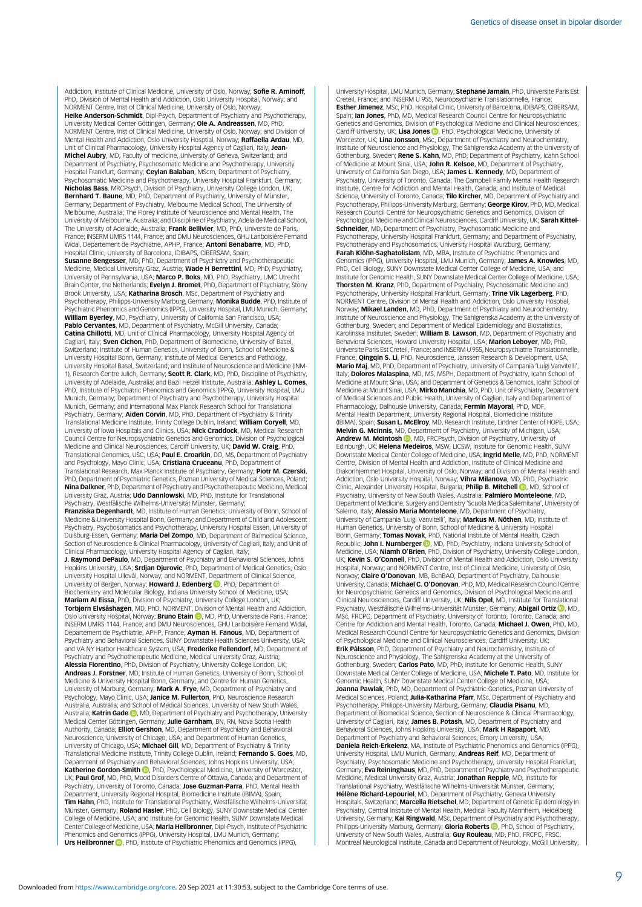Addiction, Institute of Clinical Medicine, University of Oslo, Norway; Sofie R. Aminoff, PhD, Division of Mental Health and Addiction, Oslo University Hospital, Norway; and NORMENT Centre, Inst of Clinical Medicine, University of Oslo, Norway; Heike Anderson-Schmidt, Dipl-Psych, Department of Psychiatry and Psychotherapy, University Medical Center Göttingen, Germany; Ole A. Andreassen, MD, PhD, NORMENT Centre, Inst of Clinical Medicine, University of Oslo, Norway; and Division of<br>Mental Health and Addiction, Oslo University Hosptial, Norway; **Raffaella Ardau**, MD, Unit of Clinical Pharmacology, University Hospital Agency of Cagliari, Italy; Jean-Michel Aubry, MD, Faculty of medicine, University of Geneva, Switzerland; and Department of Psychiatry, Psychosomatic Medicine and Psychotherapy, University Hospital Frankfurt, Germany; Ceylan Balaban, MScm, Department of Psychiatry, Psychosomatic Medicine and Psychotherapy, University Hospital Frankfurt, Germany;<br>**Nicholas Bass**, MRCPsych, Division of Psychiatry, University College London, UK; Bernhard T. Baune, MD, PhD, Department of Psychiatry, University of Münster, Germany; Department of Psychiatry, Melbourne Medical School, The University of Melbourne, Australia; The Florey Institute of Neuroscience and Mental Health, The University of Melbourne, Australia; and Discipline of Psychiatry, Adelaide Medical School, The University of Adelaide, Australia; **Frank Bellivier**, MD, PhD, Universite de Paris,<br>France; INSERM UMRS 1144, France; and DMU Neurosciences, GHU Lariboisière Fernand Widal, Departement de Psychiatrie, APHP, France; **Antoni Benabarre**, MD, PhD, Hospital Clinic, University of Barcelona, IDIBAPS, CIBERSAM, Spain;<br>**Susanne Bengesser**, MD, PhD, Department of Psychiatry and Psychotherapeutic

Medicine, Medical University Graz, Austria; Wade H Berrettini, MD, PhD, Psychiatry, University of Pennsylvania, USA; Marco P. Boks, MD, PhD, Psychiatry, UMC Utrecht Brain Center, the Netherlands; Evelyn J. Bromet, PhD, Department of Psychiatry, Stony Brook University, USA; Katharina Brosch, MSc, Department of Psychiatry and

Psychotherapy, Philipps-University Marburg, Germany; **Monika Budde**, PhD, Institute of<br>Psychiatric Phenomics and Genomics (IPPG), University Hospital, LMU Munich, Germany; William Byerley, MD, Psychiatry, University of California San Francisco, USA; Pablo Cervantes, MD, Department of Psychiatry, McGill University, Canada; **Catina Chillotti**, MD, Unit of Clinical Pharmacology, University Hospital Agency of<br>Cagliari, Italy; **Sven Cichon**, PhD, Department of Biomedicine, University of Basel, Switzerland; Institute of Human Genetics, University of Bonn, School of Medicine & University Hospital Bonn, Germany; Institute of Medical Genetics and Pathology, University Hospital Basel, Switzerland; and Institute of Neuroscience and Medicine (INM-1), Research Centre Julich, Germany; Scott R. Clark, MD, PhD, Discipline of Psychiatry University of Adelaide, Australia; and Bazil Hetzel Institute, Australia; Ashley L. Comes, PhD, Institute of Psychiatric Phenomics and Genomics (IPPG), University Hospital, LMU Munich, Germany; Department of Psychiatry and Psychotherapy, University Hospital Munich, Germany; and International Max Planck Research School for Translational Psychiatry, Germany; Aiden Corvin, MD, PhD, Department of Psychiatry & Trinity Translational Medicine Institute, Trinity College Dublin, Ireland; William Coryell, MD, University of Iowa Hospitals and Clinics, USA; Nick Craddock, MD, Medical Research Council Centre for Neuropsychiatric Genetics and Genomics, Division of Psychological Medicine and Clinical Neurosciences, Cardiff University, UK; David W. Craig, PhD Translational Genomics, USC, USA; Paul E. Croarkin, DO, MS, Department of Psychiatry and Psychology, Mayo Clinic, USA; Cristiana Cruceanu, PhD, Department of Translational Research, Max Planck Institute of Psychiatry, Germany; Piotr M. Czerski, PhD, Department of Psychiatric Genetics, Poznan University of Medical Sciences, Poland; Nina Dalkner, PhD, Department of Psychiatry and Psychotherapeutic Medicine, Medical University Graz, Austria; Udo Dannlowski, MD, PhD, Institute for Translational Psychiatry, Westfälische Wilhelms-Universität Münster, Germany;

Franziska Degenhardt, MD, Institute of Human Genetics, University of Bonn, School of Medicine & University Hospital Bonn, Germany; and Department of Child and Adolescent Psychiatry, Psychosomatics and Psychotherapy, University Hospital Essen, University of<br>Duisburg-Essen, Germany; **Maria Del Zompo**, MD, Department of Biomedical Science, Section of Neuroscience & Clinical Pharmacology, University of Cagliari, Italy; and Unit of

Clinical Pharmacology, University Hospital Agency of Cagliari, Italy;<br>**J. Raymond DePaulo,** MD, Department of Psychiatry and Behavioral Sciences, Johns Hopkins University, USA; Srdjan Djurovic, PhD, Department of Medical Genetics, Oslo University Hospital Ullevål, Norway; and NORMENT, Department of Clinical Science,<br>University of Bergen, Norway; **Howard J. Edenberg ©**, PhD, Department of Biochemistry and Molecular Biology, Indiana University School of Medicine, USA;

**Mariam Al Eissa**, PhD, Division of Psychiatry, University College London, UK;<br>**Torbjørn Elvsåshagen**, MD, PhD, NORMENT, Division of Mental Health and Addiction, Oslo University Hospital, Norway; **Bruno Etain (D**, MD, PhD, Universite de Paris, France INSERM UMRS 1144, France; and DMU Neurosciences, GHU Lariboisière Fernand Widal, Departement de Psychiatrie, APHP, France; Ayman H. Fanous, MD, Department of Psychiatry and Behavioral Sciences, SUNY Downstate Health Sciences University, USA; and VA NY Harbor Healthcare System, USA; **Frederike Fellendorf**, MD, Department of<br>Psychiatry and Psychotherapeutic Medicine, Medical University Graz, Austria; Alessia Fiorentino, PhD, Division of Psychiatry, University College London, UK; Andreas J. Forstner, MD, Institute of Human Genetics, University of Bonn, School of Medicine & University Hospital Bonn, Germany; and Centre for Human Genetics, University of Marburg, Germany; Mark A. Frye, MD, Department of Psychiatry and

Psychology, Mayo Clinic, USA; **Janice M. Fullerton**, PhD, Neuroscience Research<br>Australia, Australia; and School of Medical Sciences, University of New South Wales, Australia; Katrin Gade <sup>(b</sup>), MD, Department of Psychiatry and Psychotherapy, University Medical Center Göttingen, Germany; **Julie Garnham**, BN, RN, Nova Scotia Health<br>Authority, Canada; **Elliot Gershon**, MD, Department of Psychiatry and Behavioral Neuroscience, University of Chicago, USA; and Department of Human Genetics, University of Chicago, USA; **Michael Gill,** MD, Department of Psychiatry & Trinity<br>Translational Medicine Institute, Trinity College Dublin, Ireland; **Fernando S. Goes,** MD, Department of Psychiatry and Behavioral Sciences, Johns Hopkins University, USA **Katherine Gordon-Smith ©**, PhD, Psychological Medicine, University of Worcester,<br>UK; **Paul Grof**, MD, PhD, Mood Disorders Centre of Ottawa, Canada; and Department of Psychiatry, University of Toronto, Canada; Jose Guzman-Parra, PhD, Mental Health Department, University Regional Hospital, Biomedicine Institute (IBIMA), Spain;<br>**Tim Hahn**, PhD, Institute for Translational Psychiatry, Westfälische Wilhelms-Universität Münster, Germany; Roland Hasler, PhD, Cell Biology, SUNY Downstate Medical Center College of Medicine, USA; and Institute for Genomic Health, SUNY Downstate Medical<br>Center College of Medicine, USA; **Maria Heilbronner**, Dipl-Psych, Institute of Psychiatric Phenomics and Genomics (IPPG), University Hospital, LMU Munich, Germany; Urs Heilbronner **D**[,](https://orcid.org/0000-0001-7135-762X) PhD, Institute of Psychiatric Phenomics and Genomics (IPPG),

University Hospital, LMU Munich, Germany; Stephane Jamain, PhD, Universite Paris Est Creteil, France; and INSERM U 955, Neuropsychiatrie Translationnelle, France; Esther Jimenez, MSc, PhD, Hospital Clinic, University of Barcelona, IDIBAPS, CIBERSAM, Spain; Ian Jones, PhD, MD, Medical Research Council Centre for Neuropsychiatric Genetics and Genomics, Division of Psychological Medicine and Clinical Neurosciences, Cardiff University[,](https://orcid.org/0000-0002-5122-8334) UK; **Lisa Jones ©**, PhD, Psychological Medicine, University of<br>Worcester, UK; **Lina Jonsson**, MSc, Department of Psychiatry and Neurochemistry, Institute of Neuroscience and Physiology, The Sahlgrenska Academy at the University of Gothenburg, Sweden; **Rene S. Kahn**, MD, PhD, Department of Psychiatry, Icahn Schoo<br>of Medicine at Mount Sinai, USA; **John R. Kelsoe**, MD, Department of Psychiatry, University of California San Diego, USA; James L. Kennedy, MD, Department of Psychiatry, University of Toronto, Canada; The Campbell Family Mental Health Research<br>Institute, Centre for Addiction and Mental Health, Canada; and Institute of Medical Science, University of Toronto, Canada; Tilo Kircher, MD, Department of Psychiatry and Psychotherapy, Philipps-University Marburg, Germany; **George Kirov**, PhD, MD, Medica<br>Research Council Centre for Neuropsychiatric Genetics and Genomics, Division of Psychological Medicine and Clinical Neurosciences, Cardiff University, UK; Sarah Kittel-**Schneider**, MD, Department of Psychiatry, Psychosomatic Medicine and<br>Psychotherapy, University Hospital Frankfurt, Germany; and Department of Psychiatry, Psychotherapy and Psychosomatics, University Hospital Wurzburg, Germany; Farah Klöhn-Saghatolislam, MD, MBA, Institute of Psychiatric Phenomics and Genomics (IPPG), University Hospital, LMU Munich, Germany; James A. Knowles, MD, PhD, Cell Biology, SUNY Downstate Medical Center College of Medicine, USA; and Institute for Genomic Health, SUNY Downstate Medical Center College of Medicine, USA; Thorsten M. Kranz, PhD, Department of Psychiatry, Psychosomatic Medicine and Psychotherapy, University Hospital Frankfurt, Germany; Trine Vik Lagerberg, PhD, NORMENT Centre, Division of Mental Health and Addiction, Oslo University Hosptial, Norway; Mikael Landen, MD, PhD, Department of Psychiatry and Neurochemistry, Institute of Neuroscience and Physiology, The Sahlgrenska Academy at the University of Gothenburg, Sweden; and Department of Medical Epidemiology and Biostatistics,<br>Karolinska Institutet, Sweden; **William B. Lawson**, MD, Department of Psychiatry and Behavioral Sciences, Howard University Hospital, USA; Marion Leboyer, MD, PhD, Universite Paris Est Creteil, France; and INSERM U 955, Neuropsychiatrie Translationnelle, France: **Qingqin S. Li**, PhD, Neuroscience, Janssen Research & Development, USA; Mario Maj, MD, PhD, Department of Psychiatry, University of Campania 'Luigi Vanvitelli', Italy; Dolores Malaspina, MD, MS, MSPH, Department of Psychiatry, Icahn School of Medicine at Mount Sinai, USA; and Department of Genetics & Genomics, Icahn School of Medicine at Mount Sinai, USA; Mirko Manchia, MD, PhD, Unit of Psychiatry, Department of Medical Sciences and Public Health, University of Cagliari, Italy and Department of Pharmacology, Dalhousie University, Canada; Fermin Mayoral, PhD, MDF, Mental Health Department, University Regional Hospital, Biomedicine Institute (IBIMA), Spain; **Susan L. McElroy**, MD, Research Institute, Lindner Center of HOPE, USA;<br>**Melvin G. McInnis**, MD, Department of Psychiatry, University of Michigan, USA; Andrew M. McIntosh **D**[,](https://orcid.org/0000-0002-0198-4588) MD, FRCPsych, Division of Psychiatry, University of Edinburgh, UK; Helena Medeiros, MSW, LICSW, Institute for Genomic Health, SUNY Downstate Medical Center College of Medicine, USA; Ingrid Melle, MD, PhD, NORMENT Centre, Division of Mental Health and Addiction, Institute of Clinical Medicine and Diakonhjemmet Hospital, University of Oslo, Norway; and Division of Mental Health and Addiction, Oslo University Hospital, Norway; Vihra Milanova, MD, PhD, Psychiatric Clinic, Alexander University Hospital, Bulgaria; **Philip B. Mitchell <sup>10</sup>,** MD, School of Psychiatry, University of New South Wales, Australia; Palmiero Monteleone, MD, Department of Medicine, Surgery and Dentistry 'Scuola Medica Salernitana', University of Salerno, Italy; **Alessio Maria Monteleone**, MD, Department of Psychiatry, University of Campania 'Luigi Vanvitelli', Italy; **Markus M. Nöthen**, MD, Institute of<br>Human Genetics, University of Bonn, School of Medicine & University Hospital Bonn, Germany; Tomas Novak, PhD, National Institute of Mental Health, Czech Republic; John I. Nurnberger (D, MD, PhD, Psychiatry, Indiana University School of Medicine, USA; **Niamh O'Brien**, PhD, Division of Psychiatry, University College London, UK; Kevin S. O'Connell, PhD, Division of Mental Health and Addiction, Oslo University Hospital, Norway; and NORMENT Centre, Inst of Clinical Medicine, University of Oslo, Norway: Claire O'Donovan, MB, BchBAO, Department of Psychiatry, Dalhousie University, Canada; Michael C. O'Donovan, PhD, MD, Medical Research Council Centre for Neuropsychiatric Genetics and Genomics, Division of Psychological Medicine and Clinical Neurosciences[,](https://orcid.org/0000-0001-6886-767X) Cardiff University, UK; **Nils Opel**, MD, Institute for Translational<br>Psychiatry, Westfälische Wilhelms-Universität Münster, Germany; **Abigail Ortiz ©**, MD, MSc, FRCPC, Department of Psychiatry, University of Toronto, Toronto, Canada; and Centre for Addiction and Mental Health, Toronto, Canada; **Michael J. Owen**, PhD, MD,<br>Medical Research Council Centre for Neuropsychiatric Genetics and Genomics, Divisior of Psychological Medicine and Clinical Neurosciences, Cardiff University, UK; **Erik Pålsson**, PhD, Department of Psychiatry and Neurochemistry, Institute of<br>Neuroscience and Physiology, The Sahlgrenska Academy at the University of Gothenburg, Sweden; Carlos Pato, MD, PhD, Institute for Genomic Health, SUNY Downstate Medical Center College of Medicine, USA; **Michele T. Pato,** MD, Institute for<br>Genomic Health, SUNY Downstate Medical Center College of Medicine, USA; Joanna Pawlak, PhD, MD, Department of Psychiatric Genetics, Poznan University of Medical Sciences, Poland; Julia-Katharina Pfarr, MSc, Department of Psychiatry and Psychotherapy, Philipps-University Marburg, Germany; Claudia Pisanu, MD, Department of Biomedical Science, Section of Neuroscience & Clinical Pharmacology, University of Cagliari, Italy; James B. Potash, MD, Department of Psychiatry and Behavioral Sciences, Johns Hopkins University, USA; Mark H Rapaport, MD, Department of Psychiatry and Behavioral Sciences, Emory University, USA; Daniela Reich-Erkelenz, MA, Institute of Psychiatric Phenomics and Genomics (IPPG), University Hospital, LMU Munich, Germany; Andreas Reif, MD, Department of Psychiatry, Psychosomatic Medicine and Psychotherapy, University Hospital Frankfurt, Germany; **Eva Reininghaus**, MD, PhD, Department of Psychiatry and Psychotherapeutic<br>Medicine, Medical University Graz, Austria; **Jonathan Repple**, MD, Institute for Translational Psychiatry, Westfälische Wilhelms-Universität Münster, Germany; Hélène Richard-Lepouriel, MD, Department of Psychiatry, Geneva University Hospitals, Switzerland; Marcella Rietschel, MD, Department of Genetic Epidemiology in Psychiatry, Central Institute of Mental Health, Medical Faculty Mannheim, Heidelberg University[,](https://orcid.org/0000-0002-1966-5120) Germany; **Kai Ringwald**, MSc, Department of Psychiatry and Psychotherapy,<br>Philipps-University Marburg, Germany; **Gloria Roberts (D**, PhD, School of Psychiatry, University of New South Wales, Australia; Guy Rouleau, MD, PhD, FRCPC, FRS Montreal Neurological Institute, Canada and Department of Neurology, McGill University,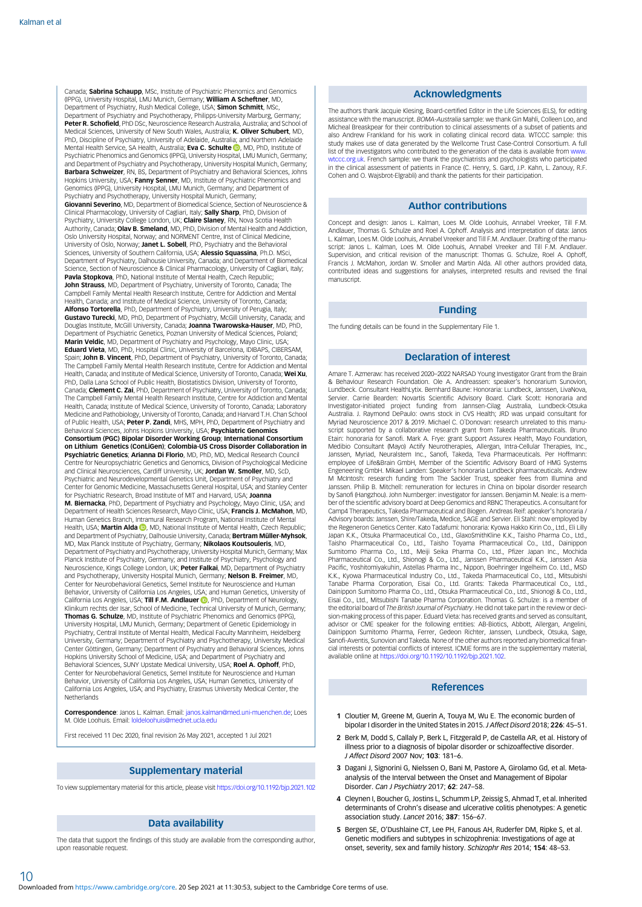<span id="page-9-0"></span>Canada; Sabrina Schaupp, MSc, Institute of Psychiatric Phenomics and Genomics (IPPG), University Hospital, LMU Munich, Germany; William A Scheftner, MD, Department of Psychiatry, Rush Medical College, USA; Simon Schmitt, MSc, Department of Psychiatry and Psychotherapy, Philipps-University Marburg, Germany; Peter R. Schofield, PhD DSc, Neuroscience Research Australia, Australia; and School of Medical Sciences, University of New South Wales, Australia; **K. Oliver Schubert**, MD,<br>PhD, Discipline of Psychiatry, University of Adelaide, Australia; and Northern Adelaide Mental Health Service[,](https://orcid.org/0000-0003-3105-5672) SA Health, Australia; **Eva C. Schulte <sup>(D</sup>)**, MD, PhD, Institute of Psychiatric Phenomics and Genomics (IPPG), University Hospital, LMU Munich, Germany; and Department of Psychiatry and Psychotherapy, University Hospital Munich, Germany; Barbara Schweizer, RN, BS, Department of Psychiatry and Behavioral Sciences, Johns Hopkins University, USA; Fanny Senner, MD, Institute of Psychiatric Phenomics and Genomics (IPPG), University Hospital, LMU Munich, Germany; and Department of Psychiatry and Psychotherapy, University Hospital Munich, Germany; Giovanni Severino, MD, Department of Biomedical Science, Section of Neuroscience & Clinical Pharmacology, University of Cagliari, Italy; Sally Sharp, PhD, Division of Psychiatry, University College London, UK; Claire Slaney, RN, Nova Scotia Health Authority, Canada; **Olav B. Smeland,** MD, PhD, Division of Mental Health and Addiction,<br>Oslo University Hospital, Norway; and NORMENT Centre, Inst of Clinical Medicine, University of Oslo, Norway; Janet L. Sobell, PhD, Psychiatry and the Behavioral Sciences, University of Southern California, USA; Alessio Squassina, Ph.D. MSci, Department of Psychiatry, Dalhousie University, Canada; and Department of Biomedical Science, Section of Neuroscience & Clinical Pharmacology, University of Cagliari, Italy; Pavla Stopkova, PhD, National Institute of Mental Health, Czech Republic; John Strauss, MD, Department of Psychiatry, University of Toronto, Canada; The Campbell Family Mental Health Research Institute, Centre for Addiction and Mental Health, Canada; and Institute of Medical Science, University of Toronto, Canada; Alfonso Tortorella, PhD, Department of Psychiatry, University of Perugia, Italy; Gustavo Turecki, MD, PhD, Department of Psychiatry, McGill University, Canada; and Douglas Institute, McGill University, Canada; Joanna Twarowska-Hauser, MD, PhD, Department of Psychiatric Genetics, Poznan University of Medical Sciences, Poland; Marin Veldic, MD, Department of Psychiatry and Psychology, Mayo Clinic, USA; Eduard Vieta, MD, PhD, Hospital Clinic, University of Barcelona, IDIBAPS, CIBERSAM, Spain: John B. Vincent, PhD, Department of Psychiatry, University of Toronto, Canada The Campbell Family Mental Health Research Institute, Centre for Addiction and Mental Health, Canada; and Institute of Medical Science, University of Toronto, Canada; Wei Xu, PhD, Dalla Lana School of Public Health, Biostatistics Division, University of Toronto, Canada; Clement C. Zai, PhD, Department of Psychiatry, University of Toronto, Canada; The Campbell Family Mental Health Research Institute, Centre for Addiction and Mental Health, Canada; Institute of Medical Science, University of Toronto, Canada; Laboratory Medicine and Pathobiology, University of Toronto, Canada; and Harvard T.H. Chan School of Public Health, USA; Peter P. Zandi, MHS, MPH, PhD, Department of Psychiatry and Behavioral Sciences, Johns Hopkins University, USA; Psychiatric Genomics Consortium (PGC) Bipolar Disorder Working Group; International Consortium on Lithium Genetics (ConLiGen); Colombia-US Cross Disorder Collaboration in **Psychiatric Genetics: Arianna Di Florio, MD, PhD, MD, Medical Research Council** Centre for Neuropsychiatric Genetics and Genomics, Division of Psychological Medicine and Clinical Neurosciences, Cardiff University, UK; Jordan W. Smoller, MD, ScD, Psychiatric and Neurodevelopmental Genetics Unit, Department of Psychiatry and Center for Genomic Medicine, Massachusetts General Hospital, USA; and Stanley Center for Psychiatric Research, Broad Institute of MIT and Harvard, USA; Joanna M. Biernacka, PhD, Department of Psychiatry and Psychology, Mayo Clinic, USA; and Department of Health Sciences Research, Mayo Clinic, USA; Francis J. McMahon, MD, Human Genetics Branch, Intramural Research Program, National Institute of Mental Health[,](https://orcid.org/0000-0001-9544-3944) USA; Martin Alda **D**, MD, National Institute of Mental Health, Czech Republic; and Department of Psychiatry, Dalhousie University, Canada; Bertram Müller-Myhsok, MD, Max Planck Institute of Psychiatry, Germany; Nikolaos Koutsouleris, MD, Department of Psychiatry and Psychotherapy, University Hospital Munich, Germany; Max Planck Institute of Psychiatry, Germany; and Institute of Psychiatry, Psychology and Neuroscience, Kings College London, UK; Peter Falkai, MD, Department of Psychiatry and Psychotherapy, University Hospital Munich, Germany; **Nelson B. Freimer**, MD,<br>Center for Neurobehavioral Genetics, Semel Institute for Neuroscience and Human Behavior, University of California Los Angeles, USA; and Human Genetics, University of California Los Angeles[,](https://orcid.org/0000-0002-2917-5889) USA: Till F.M. Andlauer **D**. PhD, Department of Neurology Klinikum rechts der Isar, School of Medicine, Technical University of Munich, Germany; Thomas G. Schulze, MD, Institute of Psychiatric Phenomics and Genomics (IPPG), University Hospital, LMU Munich, Germany; Department of Genetic Epidemiology in Psychiatry, Central Institute of Mental Health, Medical Faculty Mannheim, Heidelberg University, Germany; Department of Psychiatry and Psychotherapy, University Medical Center Göttingen, Germany; Department of Psychiatry and Behavioral Sciences, Johns Hopkins University School of Medicine, USA; and Department of Psychiatry and Behavioral Sciences, SUNY Upstate Medical University, USA; Roel A. Ophoff, PhD, Center for Neurobehavioral Genetics, Semel Institute for Neuroscience and Human Behavior, University of California Los Angeles, USA; Human Genetics, University of California Los Angeles, USA; and Psychiatry, Erasmus University Medical Center, the **Netherlands** 

Correspondence: Janos L. Kalman. Email: [janos.kalman@med.uni-muenchen.de;](mailto:janos.kalman@med.uni-muenchen.de) Loes M. Olde Loohuis. Email: [loldeloohuis@mednet.ucla.edu](mailto:loldeloohuis@mednet.ucla.edu)

First received 11 Dec 2020, final revision 26 May 2021, accepted 1 Jul 2021

#### Supplementary material

To view supplementary material for this article, please visit <https://doi.org/10.1192/bjp.2021.102>

#### Data availability

The data that support the findings of this study are available from the corresponding author, upon reasonable request.

10

#### Acknowledgments

The authors thank Jacquie Klesing, Board-certified Editor in the Life Sciences (ELS), for editing assistance with the manuscript. BOMA-Australia sample: we thank Gin Mahli, Colleen Loo, and Micheal Breaskpear for their contribution to clinical assessments of a subset of patients and also Andrew Frankland for his work in collating clinical record data. WTCCC sample: this study makes use of data generated by the Wellcome Trust Case-Control Consortium. A full list of the investigators who contributed to the generation of the data is available from [www.](http://www.wtccc.org.uk) [wtccc.org.uk](http://www.wtccc.org.uk). French sample: we thank the psychiatrists and psychologists who participated in the clinical assessment of patients in France (C. Henry, S. Gard, J.P. Kahn, L. Zanouy, R.F. Cohen and O. Wajsbrot-Elgrabli) and thank the patients for their participation.

#### Author contributions

Concept and design: Janos L. Kalman, Loes M. Olde Loohuis, Annabel Vreeker, Till F.M. Andlauer, Thomas G. Schulze and Roel A. Ophoff. Analysis and interpretation of data: Janos L. Kalman, Loes M. Olde Loohuis, Annabel Vreeker and Till F.M. Andlauer. Drafting of the manuscript: Janos L. Kalman, Loes M. Olde Loohuis, Annabel Vreeker and Till F.M. Andlauer. Supervision, and critical revision of the manuscript: Thomas G. Schulze, Roel A. Ophoff, Francis J. McMahon, Jordan W. Smoller and Martin Alda. All other authors provided data, contributed ideas and suggestions for analyses, interpreted results and revised the final manuscript.

#### Funding

The funding details can be found in the Supplementary File 1.

#### Declaration of interest

Amare T. Azmeraw: has received 2020–2022 NARSAD Young Investigator Grant from the Brain & Behaviour Research Foundation. Ole A. Andreassen: speaker's honorarium Sunovion, Lundbeck. Consultant HealthLytix. Bernhard Baune: Honoraria: Lundbeck, Janssen, LivaNova, Servier. Carrie Bearden: Novartis Scientific Advisory Board. Clark Scott: Honoraria and Investigator-initiated project funding from Jannsen-Cilag Australia, Lundbeck-Otsuka Australia. J. Raymond DePaulo: owns stock in CVS Health; JRD was unpaid consultant for Myriad Neuroscience 2017 & 2019. Michael C. O´Donovan: research unrelated to this manuscript supported by a collaborative research grant from Takeda Pharmaceuticals. Bruno Etain: honoraria for Sanofi. Mark A. Frye: grant Support Assurex Health, Mayo Foundation, Medibio Consultant (Mayo) Actify Neurotherapies, Allergan, Intra-Cellular Therapies, Inc., Janssen, Myriad, Neuralstem Inc., Sanofi, Takeda, Teva Pharmaceuticals. Per Hoffmann: employee of Life&Brain GmbH, Member of the Scientific Advisory Board of HMG Systems Engeneering GmbH. Mikael Landen: Speaker's honoraria Lundbeck pharmaceuticals. Andrew M McIntosh: research funding from The Sackler Trust, speaker fees from Illumina and Janssen. Philip B. Mitchell: remuneration for lectures in China on bipolar disorder research by Sanofi (Hangzhou). John Nurnberger: investigator for Janssen. Benjamin M. Neale: is a member of the scientific advisory board at Deep Genomics and RBNC Therapeutics. A consultant for Camp4 Therapeutics, Takeda Pharmaceutical and Biogen. Andreas Reif: apeaker's honoraria / Advisory boards: Janssen, Shire/Takeda, Medice, SAGE and Servier. Eli Stahl: now employed by the Regeneron Genetics Center. Kato Tadafumi: honoraria: Kyowa Hakko Kirin Co., Ltd., Eli Lilly Japan K.K., Otsuka Pharmaceutical Co., Ltd., GlaxoSmithKline K.K., Taisho Pharma Co., Ltd., Taisho Pharmaceutical Co., Ltd., Taisho Toyama Pharmaceutical Co., Ltd., Dainippor<br>Sumitomo Pharma Co., Ltd., Meiji Seika Pharma Co., Ltd., Pfizer Japan Inc., Mochida<br>Pharmaceutical Co., Ltd., Shionogi & Co., Ltd., Janssen Pacific, Yoshitomiyakuhin, Astellas Pharma Inc., Nippon, Boehringer Ingelheim Co. Ltd., MSD K.K., Kyowa Pharmaceutical Industry Co., Ltd., Takeda Pharmaceutical Co., Ltd., Mitsubish<br>Tanabe Pharma Corporation, Eisai Co., Ltd. Grants: Takeda Pharmaceutical Co., Ltd., Dainippon Sumitomo Pharma Co., Ltd., Otsuka Pharmaceutical Co., Ltd., Shionogi & Co., Ltd., Eisai Co., Ltd., Mitsubishi Tanabe Pharma Corporation. Thomas G. Schulze: is a member of the editorial board of The British Journal of Psychiatry. He did not take part in the review or deci-<br>the editorial board of The British Journal of Psychiatry. He did not take part in the review or decision-making process of this paper. Eduard Vieta: has received grants and served as consultant, advisor or CME speaker for the following entities: AB-Biotics, Abbott, Allergan, Angelini, Dainippon Sumitomo Pharma, Ferrer, Gedeon Richter, Janssen, Lundbeck, Otsuka, Sage, Sanofi-Aventis, Sunovion and Takeda. None of the other authors reported any biomedical financial interests or potential conflicts of interest. ICMJE forms are in the supplementary material, available online at [https://doi.org/10.1192/10.1192/bjp.2021.102.](https://doi.org/10.1192/10.1192/bjp.2021.102)

#### References

- 1 Cloutier M, Greene M, Guerin A, Touya M, Wu E. The economic burden of bipolar I disorder in the United States in 2015. J Affect Disord 2018; 226: 45–51.
- 2 Berk M, Dodd S, Callaly P, Berk L, Fitzgerald P, de Castella AR, et al. History of illness prior to a diagnosis of bipolar disorder or schizoaffective disorder. J Affect Disord 2007 Nov; 103: 181–6.
- 3 Dagani J, Signorini G, Nielssen O, Bani M, Pastore A, Girolamo Gd, et al. Metaanalysis of the Interval between the Onset and Management of Bipolar Disorder. Can J Psychiatry 2017; 62: 247–58.
- 4 Cleynen I, Boucher G, Jostins L, Schumm LP, Zeissig S, Ahmad T, et al. Inherited determinants of Crohn's disease and ulcerative colitis phenotypes: A genetic association study. Lancet 2016; 387: 156-67.
- 5. Bergen SE, O'Dushlaine CT, Lee PH, Fanous AH, Ruderfer DM, Ripke S, et al. Genetic modifiers and subtypes in schizophrenia: Investigations of age at onset, severity, sex and family history. Schizophr Res 2014; 154: 48–53.